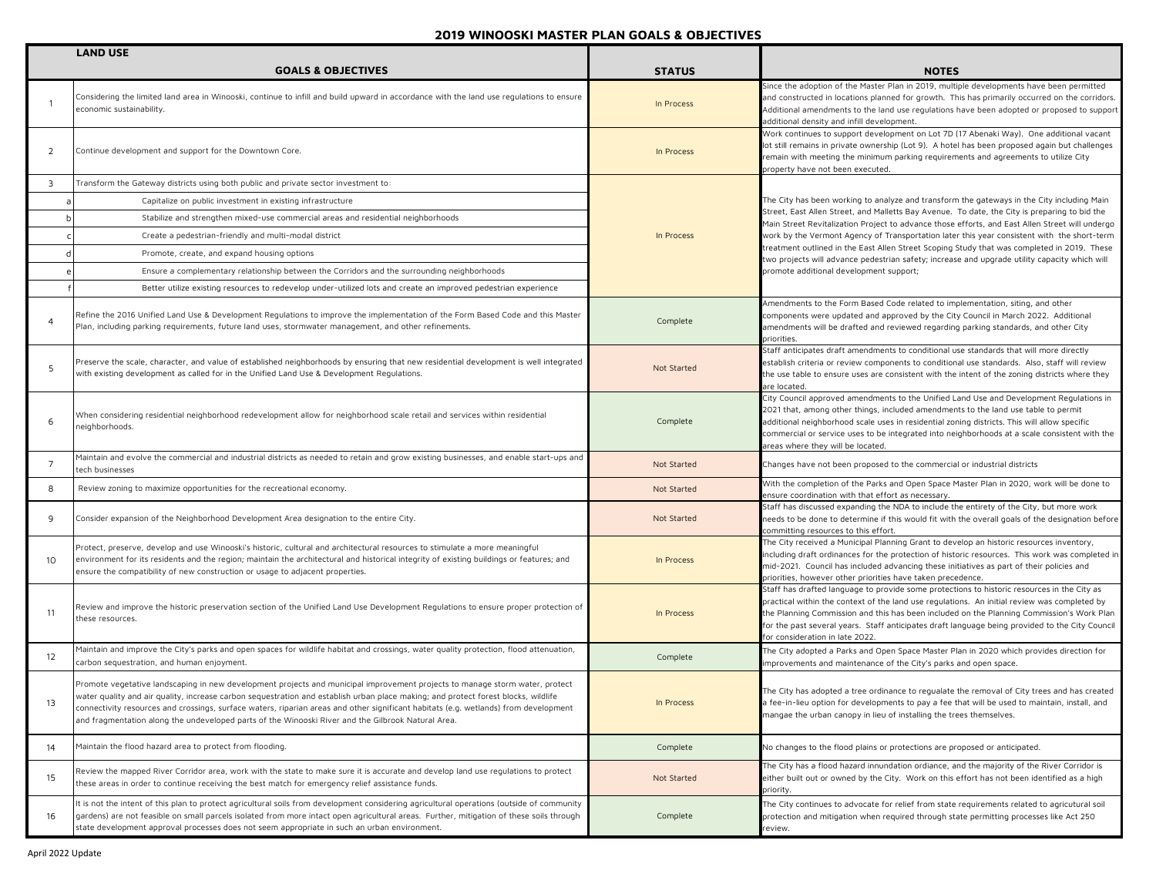|                 | <b>LAND USE</b>                                                                                                                                                                                                                                                                                                                                                                                                                                                                                                  |               |                                                                                                                                                                                                                                                                                                                                                                                                                                |
|-----------------|------------------------------------------------------------------------------------------------------------------------------------------------------------------------------------------------------------------------------------------------------------------------------------------------------------------------------------------------------------------------------------------------------------------------------------------------------------------------------------------------------------------|---------------|--------------------------------------------------------------------------------------------------------------------------------------------------------------------------------------------------------------------------------------------------------------------------------------------------------------------------------------------------------------------------------------------------------------------------------|
|                 | <b>GOALS &amp; OBJECTIVES</b>                                                                                                                                                                                                                                                                                                                                                                                                                                                                                    | <b>STATUS</b> | <b>NOTES</b>                                                                                                                                                                                                                                                                                                                                                                                                                   |
|                 | Considering the limited land area in Winooski, continue to infill and build upward in accordance with the land use regulations to ensure<br>economic sustainability.                                                                                                                                                                                                                                                                                                                                             | In Process    | Since the adoption of the Master Plan in 2019, multiple developments have been permitted<br>and constructed in locations planned for growth. This has primarily occurred on the corridors.<br>Additional amendments to the land use regulations have been adopted or proposed to support<br>additional density and infill development.                                                                                         |
| 2               | Continue development and support for the Downtown Core.                                                                                                                                                                                                                                                                                                                                                                                                                                                          | In Process    | Work continues to support development on Lot 7D (17 Abenaki Way). One additional vacant<br>lot still remains in private ownership (Lot 9). A hotel has been proposed again but challenges<br>remain with meeting the minimum parking requirements and agreements to utilize City<br>property have not been executed.                                                                                                           |
| 3               | Transform the Gateway districts using both public and private sector investment to:                                                                                                                                                                                                                                                                                                                                                                                                                              |               |                                                                                                                                                                                                                                                                                                                                                                                                                                |
|                 | Capitalize on public investment in existing infrastructure                                                                                                                                                                                                                                                                                                                                                                                                                                                       |               | The City has been working to analyze and transform the gateways in the City including Main                                                                                                                                                                                                                                                                                                                                     |
|                 | Stabilize and strengthen mixed-use commercial areas and residential neighborhoods                                                                                                                                                                                                                                                                                                                                                                                                                                |               | Street, East Allen Street, and Malletts Bay Avenue. To date, the City is preparing to bid the<br>Main Street Revitalization Project to advance those efforts, and East Allen Street will undergo                                                                                                                                                                                                                               |
|                 | Create a pedestrian-friendly and multi-modal district                                                                                                                                                                                                                                                                                                                                                                                                                                                            | In Process    | work by the Vermont Agency of Transportation later this year consistent with the short-term                                                                                                                                                                                                                                                                                                                                    |
|                 | Promote, create, and expand housing options                                                                                                                                                                                                                                                                                                                                                                                                                                                                      |               | treatment outlined in the East Allen Street Scoping Study that was completed in 2019. These<br>two projects will advance pedestrian safety; increase and upgrade utility capacity which will                                                                                                                                                                                                                                   |
|                 | Ensure a complementary relationship between the Corridors and the surrounding neighborhoods                                                                                                                                                                                                                                                                                                                                                                                                                      |               | promote additional development support;                                                                                                                                                                                                                                                                                                                                                                                        |
|                 | Better utilize existing resources to redevelop under-utilized lots and create an improved pedestrian experience                                                                                                                                                                                                                                                                                                                                                                                                  |               |                                                                                                                                                                                                                                                                                                                                                                                                                                |
| $\overline{4}$  | Refine the 2016 Unified Land Use & Development Regulations to improve the implementation of the Form Based Code and this Master<br>Plan, including parking requirements, future land uses, stormwater management, and other refinements.                                                                                                                                                                                                                                                                         | Complete      | Amendments to the Form Based Code related to implementation, siting, and other<br>components were updated and approved by the City Council in March 2022. Additional<br>amendments will be drafted and reviewed regarding parking standards, and other City<br>priorities.                                                                                                                                                     |
| 5               | Preserve the scale, character, and value of established neighborhoods by ensuring that new residential development is well integrated<br>with existing development as called for in the Unified Land Use & Development Regulations.                                                                                                                                                                                                                                                                              | Not Started   | Staff anticipates draft amendments to conditional use standards that will more directly<br>establish criteria or review components to conditional use standards. Also, staff will review<br>the use table to ensure uses are consistent with the intent of the zoning districts where they<br>are located.                                                                                                                     |
| 6               | When considering residential neighborhood redevelopment allow for neighborhood scale retail and services within residential<br>neighborhoods.                                                                                                                                                                                                                                                                                                                                                                    | Complete      | City Council approved amendments to the Unified Land Use and Development Regulations in<br>2021 that, among other things, included amendments to the land use table to permit<br>additional neighborhood scale uses in residential zoning districts. This will allow specific<br>commercial or service uses to be integrated into neighborhoods at a scale consistent with the<br>areas where they will be located.            |
| $7\overline{ }$ | Maintain and evolve the commercial and industrial districts as needed to retain and grow existing businesses, and enable start-ups and<br>tech businesses                                                                                                                                                                                                                                                                                                                                                        | Not Started   | Changes have not been proposed to the commercial or industrial districts                                                                                                                                                                                                                                                                                                                                                       |
| 8               | Review zoning to maximize opportunities for the recreational economy.                                                                                                                                                                                                                                                                                                                                                                                                                                            | Not Started   | With the completion of the Parks and Open Space Master Plan in 2020, work will be done to<br>ensure coordination with that effort as necessary.                                                                                                                                                                                                                                                                                |
| 9               | Consider expansion of the Neighborhood Development Area designation to the entire City.                                                                                                                                                                                                                                                                                                                                                                                                                          | Not Started   | Staff has discussed expanding the NDA to include the entirety of the City, but more work<br>needs to be done to determine if this would fit with the overall goals of the designation before<br>committing resources to this effort.                                                                                                                                                                                           |
| 10              | Protect, preserve, develop and use Winooski's historic, cultural and architectural resources to stimulate a more meaningful<br>environment for its residents and the region; maintain the architectural and historical integrity of existing buildings or features; and<br>ensure the compatibility of new construction or usage to adjacent properties.                                                                                                                                                         | In Process    | The City received a Municipal Planning Grant to develop an historic resources inventory,<br>including draft ordinances for the protection of historic resources. This work was completed in<br>mid-2021. Council has included advancing these initiatives as part of their policies and<br>priorities, however other priorities have taken precedence.                                                                         |
| 11              | Review and improve the historic preservation section of the Unified Land Use Development Regulations to ensure proper protection of<br>these resources.                                                                                                                                                                                                                                                                                                                                                          | In Process    | Staff has drafted language to provide some protections to historic resources in the City as<br>practical within the context of the land use regulations. An initial review was completed by<br>the Planning Commission and this has been included on the Planning Commission's Work Plan<br>for the past several years. Staff anticipates draft language being provided to the City Council<br>for consideration in late 2022. |
| 12              | Maintain and improve the City's parks and open spaces for wildlife habitat and crossings, water quality protection, flood attenuation,<br>carbon sequestration, and human enjoyment.                                                                                                                                                                                                                                                                                                                             | Complete      | The City adopted a Parks and Open Space Master Plan in 2020 which provides direction for<br>mprovements and maintenance of the City's parks and open space.                                                                                                                                                                                                                                                                    |
|                 | Promote vegetative landscaping in new development projects and municipal improvement projects to manage storm water, protect<br>water quality and air quality, increase carbon sequestration and establish urban place making; and protect forest blocks, wildlife<br>connectivity resources and crossings, surface waters, riparian areas and other significant habitats (e.g. wetlands) from development<br>and fragmentation along the undeveloped parts of the Winooski River and the Gilbrook Natural Area. | In Process    | The City has adopted a tree ordinance to regualate the removal of City trees and has created<br>fee-in-lieu option for developments to pay a fee that will be used to maintain, install, and<br>mangae the urban canopy in lieu of installing the trees themselves.                                                                                                                                                            |
| 14              | Maintain the flood hazard area to protect from flooding.                                                                                                                                                                                                                                                                                                                                                                                                                                                         | Complete      | No changes to the flood plains or protections are proposed or anticipated.                                                                                                                                                                                                                                                                                                                                                     |
| 15              | Review the mapped River Corridor area, work with the state to make sure it is accurate and develop land use regulations to protect<br>these areas in order to continue receiving the best match for emergency relief assistance funds.                                                                                                                                                                                                                                                                           | Not Started   | The City has a flood hazard innundation ordiance, and the majority of the River Corridor is<br>either built out or owned by the City. Work on this effort has not been identified as a high<br>priority.                                                                                                                                                                                                                       |
| 16              | It is not the intent of this plan to protect agricultural soils from development considering agricultural operations (outside of community<br>gardens) are not feasible on small parcels isolated from more intact open agricultural areas. Further, mitigation of these soils through<br>state development approval processes does not seem appropriate in such an urban environment.                                                                                                                           | Complete      | The City continues to advocate for relief from state requirements related to agricutural soil<br>protection and mitigation when required through state permitting processes like Act 250<br>review.                                                                                                                                                                                                                            |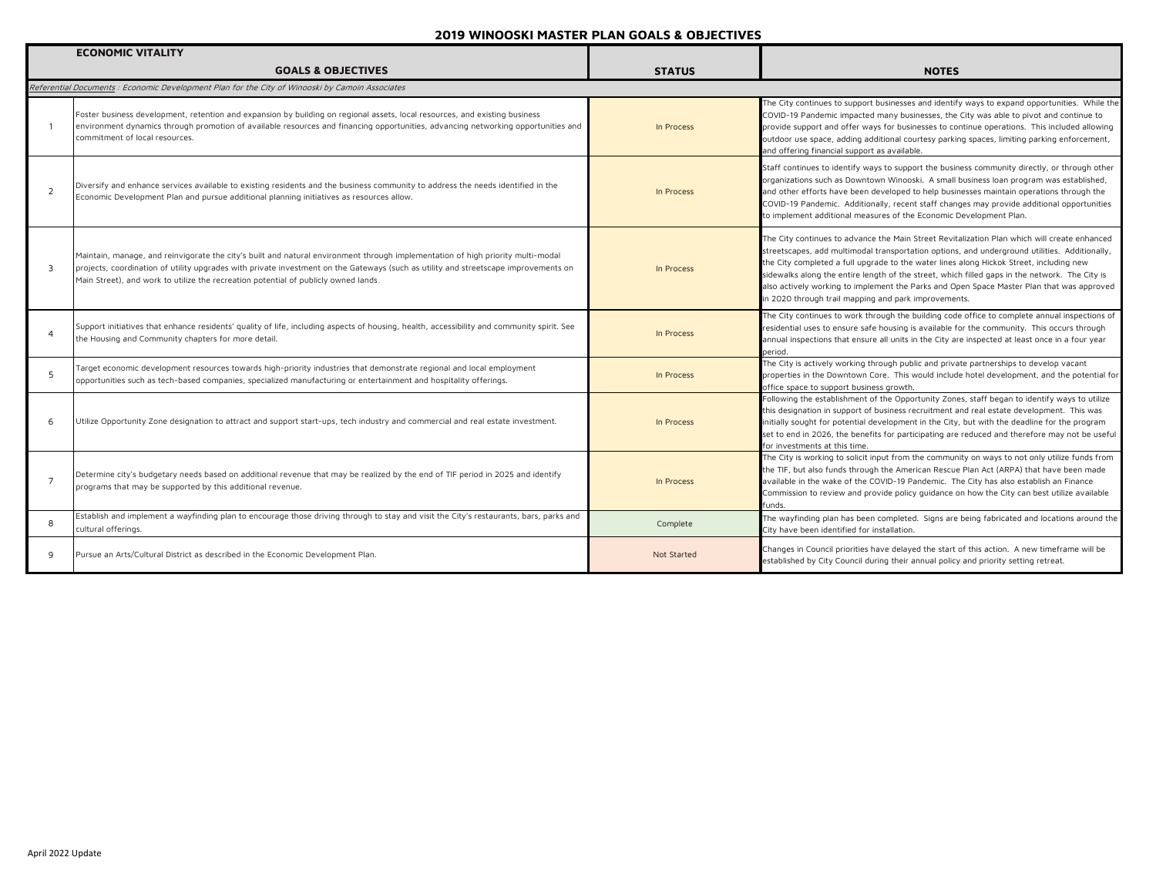|              | <b>ECONOMIC VITALITY</b>                                                                                                                                                                                                                                                                                                                                      |               |                                                                                                                                                                                                                                                                                                                                                                                                                                                                                                                                                 |
|--------------|---------------------------------------------------------------------------------------------------------------------------------------------------------------------------------------------------------------------------------------------------------------------------------------------------------------------------------------------------------------|---------------|-------------------------------------------------------------------------------------------------------------------------------------------------------------------------------------------------------------------------------------------------------------------------------------------------------------------------------------------------------------------------------------------------------------------------------------------------------------------------------------------------------------------------------------------------|
|              | <b>GOALS &amp; OBJECTIVES</b>                                                                                                                                                                                                                                                                                                                                 | <b>STATUS</b> | <b>NOTES</b>                                                                                                                                                                                                                                                                                                                                                                                                                                                                                                                                    |
|              | Referential Documents : Economic Development Plan for the City of Winooski by Camoin Associates                                                                                                                                                                                                                                                               |               |                                                                                                                                                                                                                                                                                                                                                                                                                                                                                                                                                 |
|              | Foster business development, retention and expansion by building on regional assets, local resources, and existing business<br>environment dynamics through promotion of available resources and financing opportunities, advancing networking opportunities and<br>commitment of local resources.                                                            | In Process    | The City continues to support businesses and identify ways to expand opportunities. While the<br>COVID-19 Pandemic impacted many businesses, the City was able to pivot and continue to<br>provide support and offer ways for businesses to continue operations. This included allowing<br>outdoor use space, adding additional courtesy parking spaces, limiting parking enforcement,<br>and offering financial support as available.                                                                                                          |
| 2            | Diversify and enhance services available to existing residents and the business community to address the needs identified in the<br>Economic Development Plan and pursue additional planning initiatives as resources allow.                                                                                                                                  | In Process    | Staff continues to identify ways to support the business community directly, or through other<br>organizations such as Downtown Winooski. A small business loan program was established,<br>and other efforts have been developed to help businesses maintain operations through the<br>COVID-19 Pandemic. Additionally, recent staff changes may provide additional opportunities<br>to implement additional measures of the Economic Development Plan.                                                                                        |
| $\mathbf{a}$ | Maintain, manage, and reinvigorate the city's built and natural environment through implementation of high priority multi-modal<br>projects, coordination of utility upgrades with private investment on the Gateways (such as utility and streetscape improvements on<br>Main Street), and work to utilize the recreation potential of publicly owned lands. | In Process    | The City continues to advance the Main Street Revitalization Plan which will create enhanced<br>streetscapes, add multimodal transportation options, and underground utilities. Additionally,<br>the City completed a full upgrade to the water lines along Hickok Street, including new<br>sidewalks along the entire length of the street, which filled gaps in the network. The City is<br>also actively working to implement the Parks and Open Space Master Plan that was approved<br>in 2020 through trail mapping and park improvements. |
|              | Support initiatives that enhance residents' quality of life, including aspects of housing, health, accessibility and community spirit. See<br>the Housing and Community chapters for more detail.                                                                                                                                                             | In Process    | The City continues to work through the building code office to complete annual inspections of<br>residential uses to ensure safe housing is available for the community. This occurs through<br>annual inspections that ensure all units in the City are inspected at least once in a four year<br>period.                                                                                                                                                                                                                                      |
| 5            | Target economic development resources towards high-priority industries that demonstrate regional and local employment<br>opportunities such as tech-based companies, specialized manufacturing or entertainment and hospitality offerings.                                                                                                                    | In Process    | The City is actively working through public and private partnerships to develop vacant<br>properties in the Downtown Core. This would include hotel development, and the potential for<br>office space to support business growth.                                                                                                                                                                                                                                                                                                              |
| 6            | Utilize Opportunity Zone designation to attract and support start-ups, tech industry and commercial and real estate investment.                                                                                                                                                                                                                               | In Process    | Following the establishment of the Opportunity Zones, staff began to identify ways to utilize<br>this designation in support of business recruitment and real estate development. This was<br>initially sought for potential development in the City, but with the deadline for the program<br>set to end in 2026, the benefits for participating are reduced and therefore may not be useful<br>for investments at this time.                                                                                                                  |
| - 7          | Determine city's budgetary needs based on additional revenue that may be realized by the end of TIF period in 2025 and identify<br>programs that may be supported by this additional revenue.                                                                                                                                                                 | In Process    | The City is working to solicit input from the community on ways to not only utilize funds from<br>the TIF, but also funds through the American Rescue Plan Act (ARPA) that have been made<br>available in the wake of the COVID-19 Pandemic. The City has also establish an Finance<br>Commission to review and provide policy guidance on how the City can best utilize available<br>funds.                                                                                                                                                    |
| 8            | Establish and implement a wayfinding plan to encourage those driving through to stay and visit the City's restaurants, bars, parks and<br>cultural offerings.                                                                                                                                                                                                 | Complete      | The wayfinding plan has been completed. Signs are being fabricated and locations around the<br>City have been identified for installation.                                                                                                                                                                                                                                                                                                                                                                                                      |
| q            | Pursue an Arts/Cultural District as described in the Economic Development Plan.                                                                                                                                                                                                                                                                               | Not Started   | Changes in Council priorities have delayed the start of this action. A new timeframe will be<br>established by City Council during their annual policy and priority setting retreat.                                                                                                                                                                                                                                                                                                                                                            |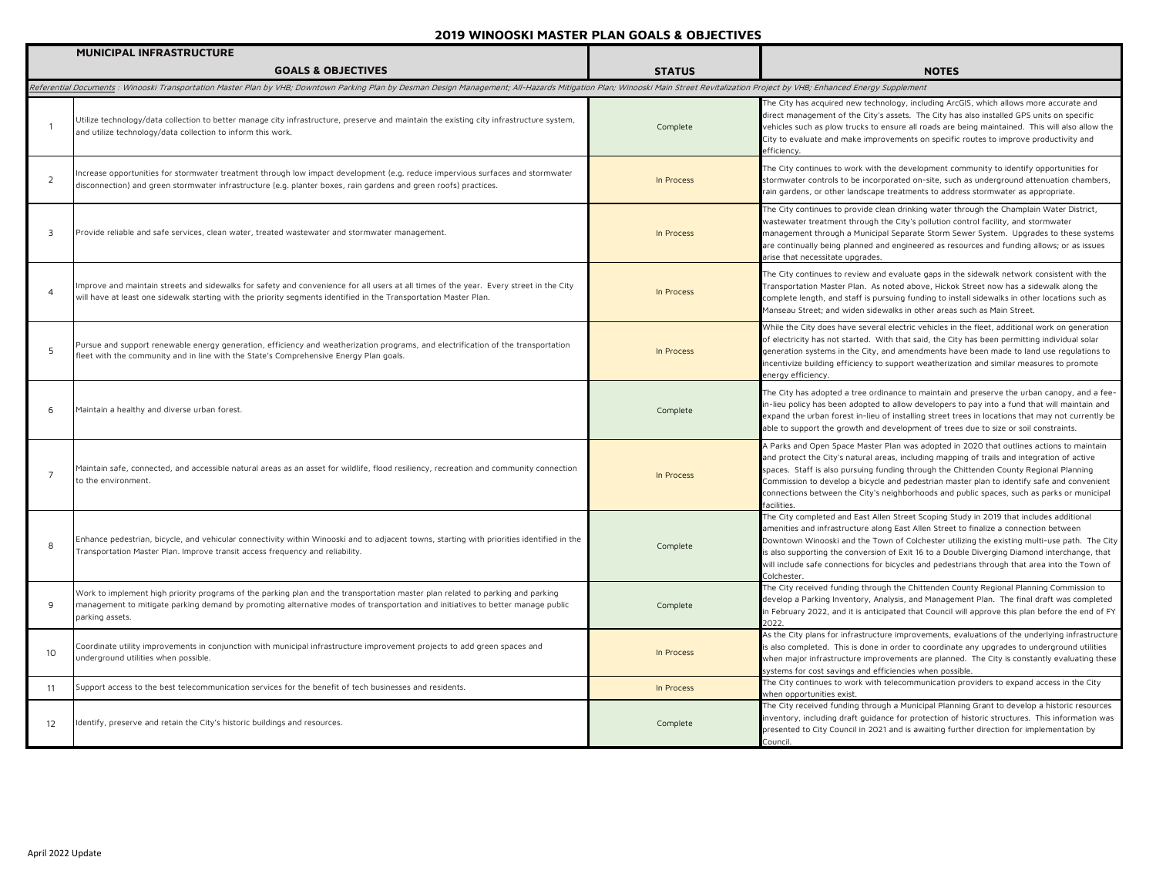|                 | <b>MUNICIPAL INFRASTRUCTURE</b>                                                                                                                                                                                                                                                     |               |                                                                                                                                                                                                                                                                                                                                                                                                                                                                                                  |
|-----------------|-------------------------------------------------------------------------------------------------------------------------------------------------------------------------------------------------------------------------------------------------------------------------------------|---------------|--------------------------------------------------------------------------------------------------------------------------------------------------------------------------------------------------------------------------------------------------------------------------------------------------------------------------------------------------------------------------------------------------------------------------------------------------------------------------------------------------|
|                 | <b>GOALS &amp; OBJECTIVES</b>                                                                                                                                                                                                                                                       | <b>STATUS</b> | <b>NOTES</b>                                                                                                                                                                                                                                                                                                                                                                                                                                                                                     |
|                 | Referential Documents : Winooski Transportation Master Plan by VHB; Downtown Parking Plan by Desman Design Management; All-Hazards Mitigation Plan; Winooski Main Street Revitalization Project by VHB; Enhanced Energy Supple                                                      |               |                                                                                                                                                                                                                                                                                                                                                                                                                                                                                                  |
| $\overline{1}$  | Utilize technology/data collection to better manage city infrastructure, preserve and maintain the existing city infrastructure system,<br>and utilize technology/data collection to inform this work.                                                                              | Complete      | The City has acquired new technology, including ArcGIS, which allows more accurate and<br>direct management of the City's assets. The City has also installed GPS units on specific<br>vehicles such as plow trucks to ensure all roads are being maintained. This will also allow the<br>City to evaluate and make improvements on specific routes to improve productivity and<br>efficiency.                                                                                                   |
| 2               | Increase opportunities for stormwater treatment through low impact development (e.g. reduce impervious surfaces and stormwater<br>disconnection) and green stormwater infrastructure (e.g. planter boxes, rain gardens and green roofs) practices.                                  | In Process    | The City continues to work with the development community to identify opportunities for<br>stormwater controls to be incorporated on-site, such as underground attenuation chambers,<br>rain gardens, or other landscape treatments to address stormwater as appropriate.                                                                                                                                                                                                                        |
| 3               | Provide reliable and safe services, clean water, treated wastewater and stormwater management.                                                                                                                                                                                      | In Process    | The City continues to provide clean drinking water through the Champlain Water District,<br>wastewater treatment through the City's pollution control facility, and stormwater<br>management through a Municipal Separate Storm Sewer System. Upgrades to these systems<br>are continually being planned and engineered as resources and funding allows; or as issues<br>arise that necessitate upgrades.                                                                                        |
| $\overline{4}$  | Improve and maintain streets and sidewalks for safety and convenience for all users at all times of the year. Every street in the City<br>will have at least one sidewalk starting with the priority segments identified in the Transportation Master Plan.                         | In Process    | The City continues to review and evaluate gaps in the sidewalk network consistent with the<br>Fransportation Master Plan. As noted above, Hickok Street now has a sidewalk along the<br>complete length, and staff is pursuing funding to install sidewalks in other locations such as<br>Manseau Street; and widen sidewalks in other areas such as Main Street.                                                                                                                                |
| 5               | Pursue and support renewable energy generation, efficiency and weatherization programs, and electrification of the transportation<br>fleet with the community and in line with the State's Comprehensive Energy Plan goals.                                                         | In Process    | While the City does have several electric vehicles in the fleet, additional work on generation<br>of electricity has not started. With that said, the City has been permitting individual solar<br>generation systems in the City, and amendments have been made to land use regulations to<br>incentivize building efficiency to support weatherization and similar measures to promote<br>energy efficiency.                                                                                   |
| 6               | Maintain a healthy and diverse urban forest.                                                                                                                                                                                                                                        | Complete      | The City has adopted a tree ordinance to maintain and preserve the urban canopy, and a fee-<br>in-lieu policy has been adopted to allow developers to pay into a fund that will maintain and<br>expand the urban forest in-lieu of installing street trees in locations that may not currently be<br>able to support the growth and development of trees due to size or soil constraints.                                                                                                        |
| $\overline{7}$  | Maintain safe, connected, and accessible natural areas as an asset for wildlife, flood resiliency, recreation and community connection<br>to the environment.                                                                                                                       | In Process    | A Parks and Open Space Master Plan was adopted in 2020 that outlines actions to maintain<br>and protect the City's natural areas, including mapping of trails and integration of active<br>spaces. Staff is also pursuing funding through the Chittenden County Regional Planning<br>Commission to develop a bicycle and pedestrian master plan to identify safe and convenient<br>connections between the City's neighborhoods and public spaces, such as parks or municipal<br>facilities.     |
| 8               | Enhance pedestrian, bicycle, and vehicular connectivity within Winooski and to adjacent towns, starting with priorities identified in the<br>Transportation Master Plan. Improve transit access frequency and reliability.                                                          | Complete      | The City completed and East Allen Street Scoping Study in 2019 that includes additional<br>amenities and infrastructure along East Allen Street to finalize a connection between<br>Downtown Winooski and the Town of Colchester utilizing the existing multi-use path. The City<br>is also supporting the conversion of Exit 16 to a Double Diverging Diamond interchange, that<br>will include safe connections for bicycles and pedestrians through that area into the Town of<br>Colchester. |
| 9               | Work to implement high priority programs of the parking plan and the transportation master plan related to parking and parking<br>management to mitigate parking demand by promoting alternative modes of transportation and initiatives to better manage public<br>parking assets. | Complete      | The City received funding through the Chittenden County Regional Planning Commission to<br>develop a Parking Inventory, Analysis, and Management Plan. The final draft was completed<br>in February 2022, and it is anticipated that Council will approve this plan before the end of FY<br>2022.                                                                                                                                                                                                |
| 10 <sup>°</sup> | Coordinate utility improvements in conjunction with municipal infrastructure improvement projects to add green spaces and<br>underground utilities when possible.                                                                                                                   | In Process    | As the City plans for infrastructure improvements, evaluations of the underlying infrastructure<br>is also completed. This is done in order to coordinate any upgrades to underground utilities<br>when major infrastructure improvements are planned. The City is constantly evaluating these<br>systems for cost savings and efficiencies when possible.                                                                                                                                       |
| 11              | Support access to the best telecommunication services for the benefit of tech businesses and residents.                                                                                                                                                                             | In Process    | The City continues to work with telecommunication providers to expand access in the City<br>when opportunities exist.                                                                                                                                                                                                                                                                                                                                                                            |
| 12              | Identify, preserve and retain the City's historic buildings and resources.                                                                                                                                                                                                          | Complete      | The City received funding through a Municipal Planning Grant to develop a historic resources<br>inventory, including draft guidance for protection of historic structures. This information was<br>presented to City Council in 2021 and is awaiting further direction for implementation by<br>Council.                                                                                                                                                                                         |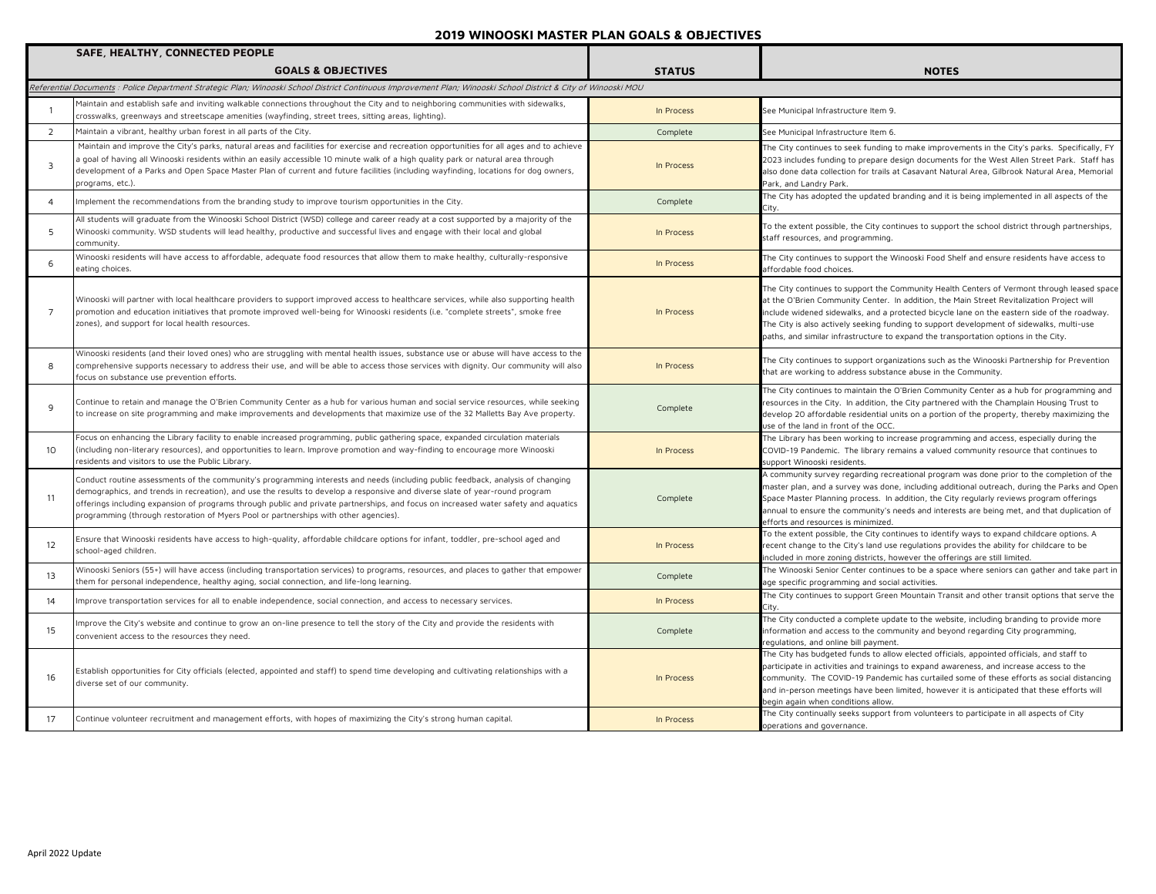|                 | SAFE, HEALTHY, CONNECTED PEOPLE                                                                                                                                                                                                                                                                                                                                                                                                                                                                |               |                                                                                                                                                                                                                                                                                                                                                                                                                                                                           |
|-----------------|------------------------------------------------------------------------------------------------------------------------------------------------------------------------------------------------------------------------------------------------------------------------------------------------------------------------------------------------------------------------------------------------------------------------------------------------------------------------------------------------|---------------|---------------------------------------------------------------------------------------------------------------------------------------------------------------------------------------------------------------------------------------------------------------------------------------------------------------------------------------------------------------------------------------------------------------------------------------------------------------------------|
|                 | <b>GOALS &amp; OBJECTIVES</b>                                                                                                                                                                                                                                                                                                                                                                                                                                                                  | <b>STATUS</b> | <b>NOTES</b>                                                                                                                                                                                                                                                                                                                                                                                                                                                              |
|                 | Referential Documents : Police Department Strategic Plan; Winooski School District Continuous Improvement Plan; Winooski School District & City of Winooski MOU                                                                                                                                                                                                                                                                                                                                |               |                                                                                                                                                                                                                                                                                                                                                                                                                                                                           |
|                 | Maintain and establish safe and inviting walkable connections throughout the City and to neighboring communities with sidewalks,<br>crosswalks, greenways and streetscape amenities (wayfinding, street trees, sitting areas, lighting).                                                                                                                                                                                                                                                       | In Process    | See Municipal Infrastructure Item 9.                                                                                                                                                                                                                                                                                                                                                                                                                                      |
| $\overline{2}$  | Maintain a vibrant, healthy urban forest in all parts of the City.                                                                                                                                                                                                                                                                                                                                                                                                                             | Complete      | See Municipal Infrastructure Item 6.                                                                                                                                                                                                                                                                                                                                                                                                                                      |
| $\overline{3}$  | Maintain and improve the City's parks, natural areas and facilities for exercise and recreation opportunities for all ages and to achieve<br>a goal of having all Winooski residents within an easily accessible 10 minute walk of a high quality park or natural area through<br>development of a Parks and Open Space Master Plan of current and future facilities (including wayfinding, locations for dog owners,<br>programs, etc.).                                                      | In Process    | The City continues to seek funding to make improvements in the City's parks. Specifically, FY<br>2023 includes funding to prepare design documents for the West Allen Street Park. Staff has<br>also done data collection for trails at Casavant Natural Area, Gilbrook Natural Area, Memorial<br>Park, and Landry Park.                                                                                                                                                  |
| $\overline{4}$  | Implement the recommendations from the branding study to improve tourism opportunities in the City.                                                                                                                                                                                                                                                                                                                                                                                            | Complete      | The City has adopted the updated branding and it is being implemented in all aspects of the                                                                                                                                                                                                                                                                                                                                                                               |
| 5               | All students will graduate from the Winooski School District (WSD) college and career ready at a cost supported by a majority of the<br>Winooski community. WSD students will lead healthy, productive and successful lives and engage with their local and global<br>community.                                                                                                                                                                                                               | In Process    | To the extent possible, the City continues to support the school district through partnerships,<br>staff resources, and programming.                                                                                                                                                                                                                                                                                                                                      |
| 6               | Winooski residents will have access to affordable, adequate food resources that allow them to make healthy, culturally-responsive<br>eating choices.                                                                                                                                                                                                                                                                                                                                           | In Process    | The City continues to support the Winooski Food Shelf and ensure residents have access to<br>iffordable food choices.                                                                                                                                                                                                                                                                                                                                                     |
| $\overline{7}$  | Winooski will partner with local healthcare providers to support improved access to healthcare services, while also supporting health<br>promotion and education initiatives that promote improved well-being for Winooski residents (i.e. "complete streets", smoke free<br>zones), and support for local health resources.                                                                                                                                                                   | In Process    | The City continues to support the Community Health Centers of Vermont through leased space<br>at the O'Brien Community Center. In addition, the Main Street Revitalization Project will<br>include widened sidewalks, and a protected bicycle lane on the eastern side of the roadway.<br>The City is also actively seeking funding to support development of sidewalks, multi-use<br>paths, and similar infrastructure to expand the transportation options in the City. |
| 8               | Winooski residents (and their loved ones) who are struggling with mental health issues, substance use or abuse will have access to the<br>comprehensive supports necessary to address their use, and will be able to access those services with dignity. Our community will also<br>focus on substance use prevention efforts.                                                                                                                                                                 | In Process    | The City continues to support organizations such as the Winooski Partnership for Prevention<br>that are working to address substance abuse in the Community.                                                                                                                                                                                                                                                                                                              |
| 9               | Continue to retain and manage the O'Brien Community Center as a hub for various human and social service resources, while seeking<br>to increase on site programming and make improvements and developments that maximize use of the 32 Malletts Bay Ave property.                                                                                                                                                                                                                             | Complete      | The City continues to maintain the O'Brien Community Center as a hub for programming and<br>esources in the City. In addition, the City partnered with the Champlain Housing Trust to<br>develop 20 affordable residential units on a portion of the property, thereby maximizing the<br>use of the land in front of the OCC.                                                                                                                                             |
| 10 <sup>°</sup> | Focus on enhancing the Library facility to enable increased programming, public gathering space, expanded circulation materials<br>(including non-literary resources), and opportunities to learn. Improve promotion and way-finding to encourage more Winooski<br>residents and visitors to use the Public Library.                                                                                                                                                                           | In Process    | The Library has been working to increase programming and access, especially during the<br>COVID-19 Pandemic. The library remains a valued community resource that continues to<br>support Winooski residents.                                                                                                                                                                                                                                                             |
| 11              | Conduct routine assessments of the community's programming interests and needs (including public feedback, analysis of changing<br>demographics, and trends in recreation), and use the results to develop a responsive and diverse slate of year-round program<br>offerings including expansion of programs through public and private partnerships, and focus on increased water safety and aquatics<br>programming (through restoration of Myers Pool or partnerships with other agencies). | Complete      | A community survey regarding recreational program was done prior to the completion of the<br>master plan, and a survey was done, including additional outreach, during the Parks and Open<br>Space Master Planning process. In addition, the City regularly reviews program offerings<br>annual to ensure the community's needs and interests are being met, and that duplication of<br>efforts and resources is minimized.                                               |
| 12              | Ensure that Winooski residents have access to high-quality, affordable childcare options for infant, toddler, pre-school aged and<br>school-aged children.                                                                                                                                                                                                                                                                                                                                     | In Process    | To the extent possible, the City continues to identify ways to expand childcare options. A<br>recent change to the City's land use regulations provides the ability for childcare to be<br>included in more zoning districts, however the offerings are still limited.                                                                                                                                                                                                    |
| 13              | Winooski Seniors (55+) will have access (including transportation services) to programs, resources, and places to gather that empower<br>them for personal independence, healthy aging, social connection, and life-long learning.                                                                                                                                                                                                                                                             | Complete      | The Winooski Senior Center continues to be a space where seniors can gather and take part in<br>age specific programming and social activities.                                                                                                                                                                                                                                                                                                                           |
| 14              | Improve transportation services for all to enable independence, social connection, and access to necessary services.                                                                                                                                                                                                                                                                                                                                                                           | In Process    | The City continues to support Green Mountain Transit and other transit options that serve the                                                                                                                                                                                                                                                                                                                                                                             |
| 15              | Improve the City's website and continue to grow an on-line presence to tell the story of the City and provide the residents with<br>convenient access to the resources they need.                                                                                                                                                                                                                                                                                                              | Complete      | The City conducted a complete update to the website, including branding to provide more<br>information and access to the community and beyond regarding City programming,<br>equlations, and online bill payment.                                                                                                                                                                                                                                                         |
| 16              | Establish opportunities for City officials (elected, appointed and staff) to spend time developing and cultivating relationships with a<br>diverse set of our community.                                                                                                                                                                                                                                                                                                                       | In Process    | The City has budgeted funds to allow elected officials, appointed officials, and staff to<br>participate in activities and trainings to expand awareness, and increase access to the<br>community. The COVID-19 Pandemic has curtailed some of these efforts as social distancing<br>and in-person meetings have been limited, however it is anticipated that these efforts will<br>begin again when conditions allow.                                                    |
| 17              | Continue volunteer recruitment and management efforts, with hopes of maximizing the City's strong human capital.                                                                                                                                                                                                                                                                                                                                                                               | In Process    | The City continually seeks support from volunteers to participate in all aspects of City<br>operations and governance.                                                                                                                                                                                                                                                                                                                                                    |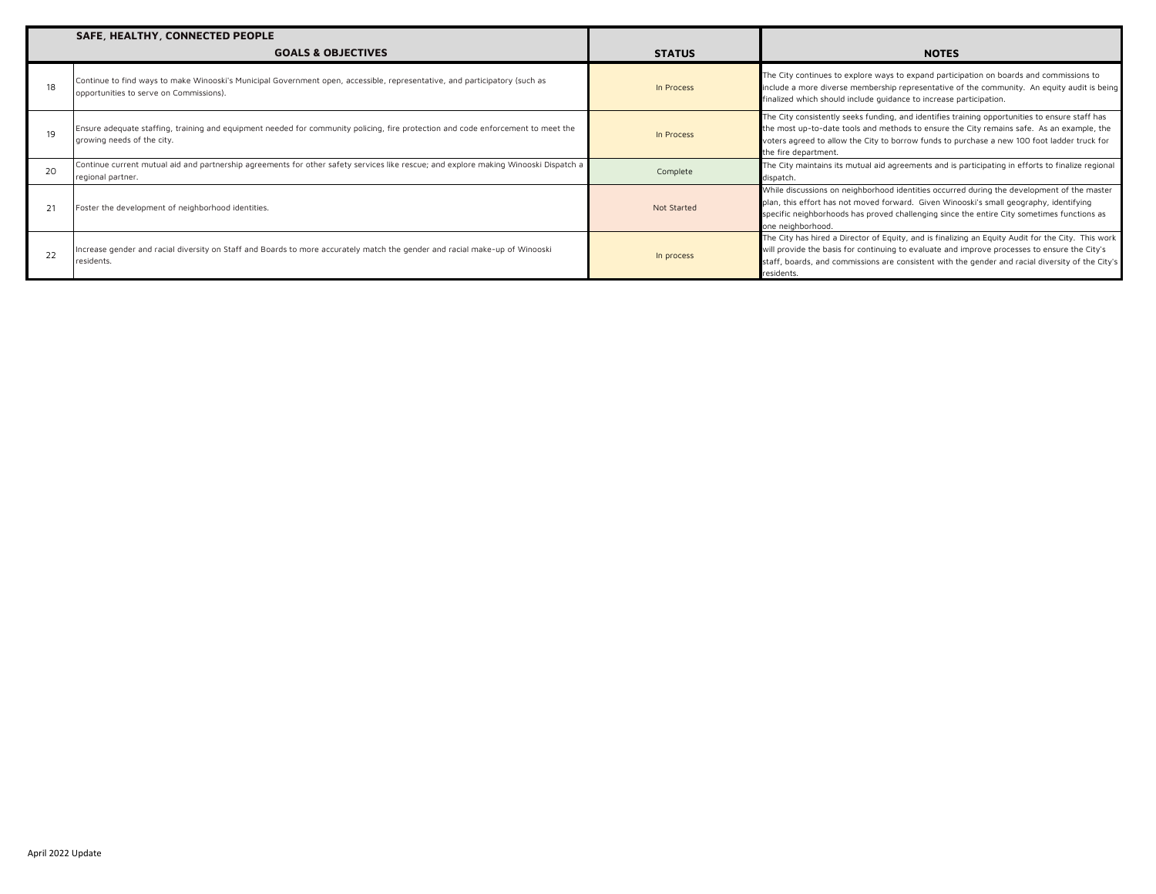|    | SAFE, HEALTHY, CONNECTED PEOPLE                                                                                                                                       |               |                                                                                                                                                                                                                                                                                                                      |
|----|-----------------------------------------------------------------------------------------------------------------------------------------------------------------------|---------------|----------------------------------------------------------------------------------------------------------------------------------------------------------------------------------------------------------------------------------------------------------------------------------------------------------------------|
|    | <b>GOALS &amp; OBJECTIVES</b>                                                                                                                                         | <b>STATUS</b> | <b>NOTES</b>                                                                                                                                                                                                                                                                                                         |
| 18 | Continue to find ways to make Winooski's Municipal Government open, accessible, representative, and participatory (such as<br>opportunities to serve on Commissions). | In Process    | The City continues to explore ways to expand participation on boards and commissions to<br>include a more diverse membership representative of the community. An equity audit is being<br>finalized which should include quidance to increase participation.                                                         |
| 19 | Ensure adequate staffing, training and equipment needed for community policing, fire protection and code enforcement to meet the<br>growing needs of the city.        | In Process    | The City consistently seeks funding, and identifies training opportunities to ensure staff has<br>the most up-to-date tools and methods to ensure the City remains safe. As an example, the<br>voters agreed to allow the City to borrow funds to purchase a new 100 foot ladder truck for<br>the fire department.   |
| 20 | Continue current mutual aid and partnership agreements for other safety services like rescue; and explore making Winooski Dispatch a<br>regional partner.             | Complete      | The City maintains its mutual aid agreements and is participating in efforts to finalize regional<br>dispatch.                                                                                                                                                                                                       |
|    | Foster the development of neighborhood identities.                                                                                                                    | Not Started   | While discussions on neighborhood identities occurred during the development of the master<br>plan, this effort has not moved forward. Given Winooski's small geography, identifying<br>specific neighborhoods has proved challenging since the entire City sometimes functions as<br>one neighborhood.              |
| 22 | Increase gender and racial diversity on Staff and Boards to more accurately match the gender and racial make-up of Winooski<br>residents.                             | In process    | The City has hired a Director of Equity, and is finalizing an Equity Audit for the City. This work<br>will provide the basis for continuing to evaluate and improve processes to ensure the City's<br>staff, boards, and commissions are consistent with the gender and racial diversity of the City's<br>residents. |